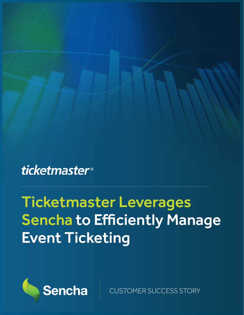### **ticketmaster**®

# Ticketmaster Leverages Sencha to Efficiently Manage Event Ticketing



CUSTOMER SUCCESS STORY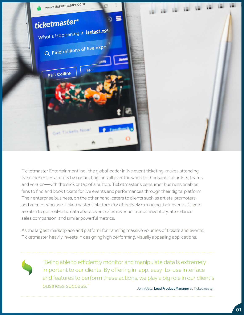

Ticketmaster Entertainment Inc., the global leader in live event ticketing, makes attending live experiences a reality by connecting fans all over the world to thousands of artists, teams, and venues—with the click or tap of a button. Ticketmaster's consumer business enables fans to find and book tickets for live events and performances through their digital platform. Their enterprise business, on the other hand, caters to clients such as artists, promoters, and venues, who use Ticketmaster's platform for effectively managing their events. Clients are able to get real-time data about event sales revenue, trends, inventory, attendance, sales comparison, and similar powerful metrics.

As the largest marketplace and platform for handling massive volumes of tickets and events, Ticketmaster heavily invests in designing high performing, visually appealing applications.



John Uetz, Lead Product Manager at Ticketmaster. "Being able to efficiently monitor and manipulate data is extremely important to our clients. By offering in-app, easy-to-use interface and features to perform these actions, we play a big role in our client's business success."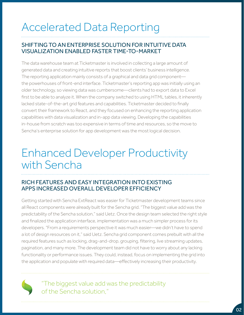# Accelerated Data Reporting

#### SHIFTING TO AN ENTERPRISE SOLUTION FOR INTUITIVE DATA VISUALIZATION ENABLED FASTER TIME-TO-MARKET

The data warehouse team at Ticketmaster is involved in collecting a large amount of generated data and creating intuitive reports that boost clients' business intelligence. The reporting application mainly consists of a graphical and data grid component the powerhouses of front-end interface. Ticketmaster's reporting app was initially using an older technology, so viewing data was cumbersome—clients had to export data to Excel first to be able to analyze it. When the company switched to using HTML tables, it inherently lacked state-of-the-art grid features and capabilities. Ticketmaster decided to finally convert their framework to React, and they focused on enhancing the reporting application capabilities with data visualization and in-app data viewing. Developing the capabilities in-house from scratch was too expensive in terms of time and resources, so the move to Sencha's enterprise solution for app development was the most logical decision.

### Enhanced Developer Productivity with Sencha

#### RICH FEATURES AND EASY INTEGRATION INTO EXISTING APPS INCREASED OVERALL DEVELOPER EFFICIENCY

Getting started with Sencha ExtReact was easier for Ticketmaster development teams since all React components were already built for the Sencha grid. "The biggest value add was the predictability of the Sencha solution," said Uetz. Once the design team selected the right style and finalized the application interface, implementation was a much simpler process for its developers. "From a requirements perspective it was much easier—we didn't have to spend a lot of design resources on it," said Uetz. Sencha grid component comes prebuilt with all the required features such as locking, drag-and-drop, grouping, filtering, live streaming updates, pagination, and many more. The development team did not have to worry about any lacking functionality or performance issues. They could, instead, focus on implementing the grid into the application and populate with required data—effectively increasing their productivity.

> "The biggest value add was the predictability of the Sencha solution,"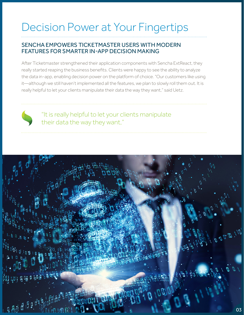# Decision Power at Your Fingertips

#### SENCHA EMPOWERS TICKETMASTER USERS WITH MODERN FEATURES FOR SMARTER IN-APP DECISION MAKING

After Ticketmaster strengthened their application components with Sencha ExtReact, they really started reaping the business benefits. Clients were happy to see the ability to analyze the data in-app, enabling decision power on the platform of choice. "Our customers like using it—although we still haven't implemented all the features, we plan to slowly roll them out. It is really helpful to let your clients manipulate their data the way they want," said Uetz.



"It is really helpful to let your clients manipulate their data the way they want,"